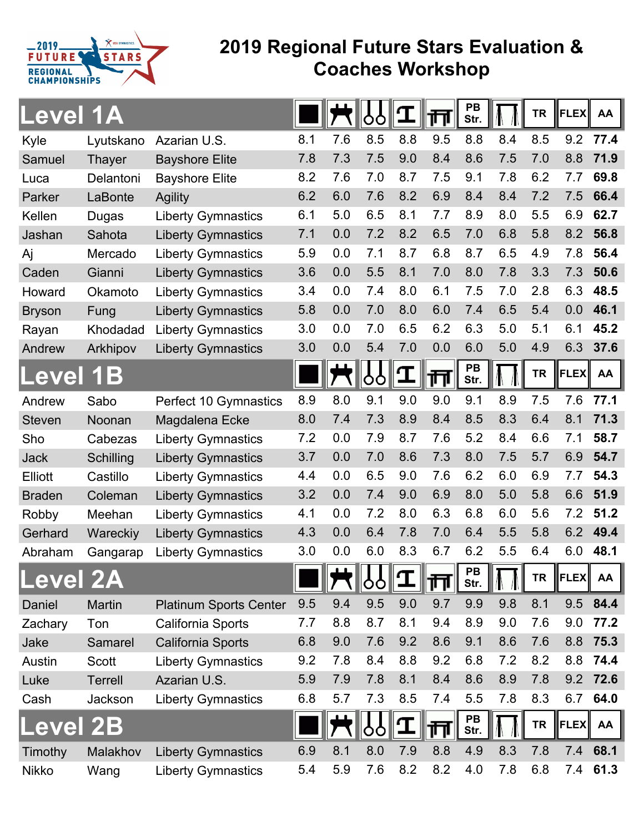

## **2019 Regional Future Stars Evaluation & Coaches Workshop**

| <b>Level 1A</b> |                  |                               |     |     | O                                                       |              | 帀   | PB<br>Str.        |     | <b>TR</b> | <b>FLEX</b> | AA        |
|-----------------|------------------|-------------------------------|-----|-----|---------------------------------------------------------|--------------|-----|-------------------|-----|-----------|-------------|-----------|
| Kyle            | Lyutskano        | Azarian U.S.                  | 8.1 | 7.6 | 8.5                                                     | 8.8          | 9.5 | 8.8               | 8.4 | 8.5       | 9.2         | 77.4      |
| Samuel          | <b>Thayer</b>    | <b>Bayshore Elite</b>         | 7.8 | 7.3 | 7.5                                                     | 9.0          | 8.4 | 8.6               | 7.5 | 7.0       | 8.8         | 71.9      |
| Luca            | Delantoni        | <b>Bayshore Elite</b>         | 8.2 | 7.6 | 7.0                                                     | 8.7          | 7.5 | 9.1               | 7.8 | 6.2       | 7.7         | 69.8      |
| Parker          | LaBonte          | <b>Agility</b>                | 6.2 | 6.0 | 7.6                                                     | 8.2          | 6.9 | 8.4               | 8.4 | 7.2       | 7.5         | 66.4      |
| Kellen          | Dugas            | <b>Liberty Gymnastics</b>     | 6.1 | 5.0 | 6.5                                                     | 8.1          | 7.7 | 8.9               | 8.0 | 5.5       | 6.9         | 62.7      |
| Jashan          | Sahota           | <b>Liberty Gymnastics</b>     | 7.1 | 0.0 | 7.2                                                     | 8.2          | 6.5 | 7.0               | 6.8 | 5.8       | 8.2         | 56.8      |
| Aj              | Mercado          | <b>Liberty Gymnastics</b>     | 5.9 | 0.0 | 7.1                                                     | 8.7          | 6.8 | 8.7               | 6.5 | 4.9       | 7.8         | 56.4      |
| Caden           | Gianni           | <b>Liberty Gymnastics</b>     | 3.6 | 0.0 | 5.5                                                     | 8.1          | 7.0 | 8.0               | 7.8 | 3.3       | 7.3         | 50.6      |
| Howard          | Okamoto          | <b>Liberty Gymnastics</b>     | 3.4 | 0.0 | 7.4                                                     | 8.0          | 6.1 | 7.5               | 7.0 | 2.8       | 6.3         | 48.5      |
| <b>Bryson</b>   | Fung             | <b>Liberty Gymnastics</b>     | 5.8 | 0.0 | 7.0                                                     | 8.0          | 6.0 | 7.4               | 6.5 | 5.4       | 0.0         | 46.1      |
| Rayan           | Khodadad         | <b>Liberty Gymnastics</b>     | 3.0 | 0.0 | 7.0                                                     | 6.5          | 6.2 | 6.3               | 5.0 | 5.1       | 6.1         | 45.2      |
| Andrew          | Arkhipov         | <b>Liberty Gymnastics</b>     | 3.0 | 0.0 | 5.4                                                     | 7.0          | 0.0 | 6.0               | 5.0 | 4.9       | 6.3         | 37.6      |
| evel            | 1 B              |                               |     |     | oo                                                      | $\mathbf T$  | 帀   | PB<br>Str.        |     | <b>TR</b> | <b>FLEX</b> | AA        |
| Andrew          | Sabo             | Perfect 10 Gymnastics         | 8.9 | 8.0 | 9.1                                                     | 9.0          | 9.0 | 9.1               | 8.9 | 7.5       | 7.6         | 77.1      |
| <b>Steven</b>   | Noonan           | Magdalena Ecke                | 8.0 | 7.4 | 7.3                                                     | 8.9          | 8.4 | 8.5               | 8.3 | 6.4       | 8.1         | 71.3      |
| Sho             | Cabezas          | <b>Liberty Gymnastics</b>     | 7.2 | 0.0 | 7.9                                                     | 8.7          | 7.6 | 5.2               | 8.4 | 6.6       | 7.1         | 58.7      |
| <b>Jack</b>     | <b>Schilling</b> | <b>Liberty Gymnastics</b>     | 3.7 | 0.0 | 7.0                                                     | 8.6          | 7.3 | 8.0               | 7.5 | 5.7       | 6.9         | 54.7      |
| <b>Elliott</b>  | Castillo         | <b>Liberty Gymnastics</b>     | 4.4 | 0.0 | 6.5                                                     | 9.0          | 7.6 | 6.2               | 6.0 | 6.9       | 7.7         | 54.3      |
| <b>Braden</b>   | Coleman          | <b>Liberty Gymnastics</b>     | 3.2 | 0.0 | 7.4                                                     | 9.0          | 6.9 | 8.0               | 5.0 | 5.8       | 6.6         | 51.9      |
| Robby           | Meehan           | <b>Liberty Gymnastics</b>     | 4.1 | 0.0 | 7.2                                                     | 8.0          | 6.3 | 6.8               | 6.0 | 5.6       | 7.2         | 51.2      |
| Gerhard         | Wareckiy         | <b>Liberty Gymnastics</b>     | 4.3 | 0.0 | 6.4                                                     | 7.8          | 7.0 | 6.4               | 5.5 | 5.8       | 6.2         | 49.4      |
| Abraham         | Gangarap         | <b>Liberty Gymnastics</b>     | 3.0 | 0.0 | 6.0                                                     | 8.3          | 6.7 | 6.2               | 5.5 | 6.4       | 6.0         | 48.1      |
| <b>Level 2A</b> |                  |                               |     |     | 10 <b>10 10 10 10 11 11 11 11 11 11 11 11</b> 11<br> 00 | $\mathbf{T}$ | 帀   | PB<br>Str.        |     | <b>TR</b> | <b>FLEX</b> | <b>AA</b> |
| Daniel          | <b>Martin</b>    | <b>Platinum Sports Center</b> | 9.5 | 9.4 | 9.5                                                     | 9.0          | 9.7 | 9.9               | 9.8 | 8.1       | 9.5         | 84.4      |
| Zachary         | Ton              | California Sports             | 7.7 | 8.8 | 8.7                                                     | 8.1          | 9.4 | 8.9               | 9.0 | 7.6       | 9.0         | 77.2      |
| Jake            | Samarel          | California Sports             | 6.8 | 9.0 | 7.6                                                     | 9.2          | 8.6 | 9.1               | 8.6 | 7.6       | 8.8         | 75.3      |
| Austin          | <b>Scott</b>     | <b>Liberty Gymnastics</b>     | 9.2 | 7.8 | 8.4                                                     | 8.8          | 9.2 | 6.8               | 7.2 | 8.2       | 8.8         | 74.4      |
| Luke            | Terrell          | Azarian U.S.                  | 5.9 | 7.9 | 7.8                                                     | 8.1          | 8.4 | 8.6               | 8.9 | 7.8       | 9.2         | 72.6      |
| Cash            | Jackson          | <b>Liberty Gymnastics</b>     | 6.8 | 5.7 | 7.3                                                     | 8.5          | 7.4 | 5.5               | 7.8 | 8.3       | 6.7         | 64.0      |
| evel            | 2B               |                               |     |     | O<br>O                                                  |              | 帀   | <b>PB</b><br>Str. |     | <b>TR</b> | <b>FLEX</b> | AA        |
| Timothy         | Malakhov         | <b>Liberty Gymnastics</b>     | 6.9 | 8.1 | 8.0                                                     | 7.9          | 8.8 | 4.9               | 8.3 | 7.8       | 7.4         | 68.1      |
| <b>Nikko</b>    | Wang             | <b>Liberty Gymnastics</b>     | 5.4 | 5.9 | 7.6                                                     | 8.2          | 8.2 | 4.0               | 7.8 | 6.8       | 7.4         | 61.3      |